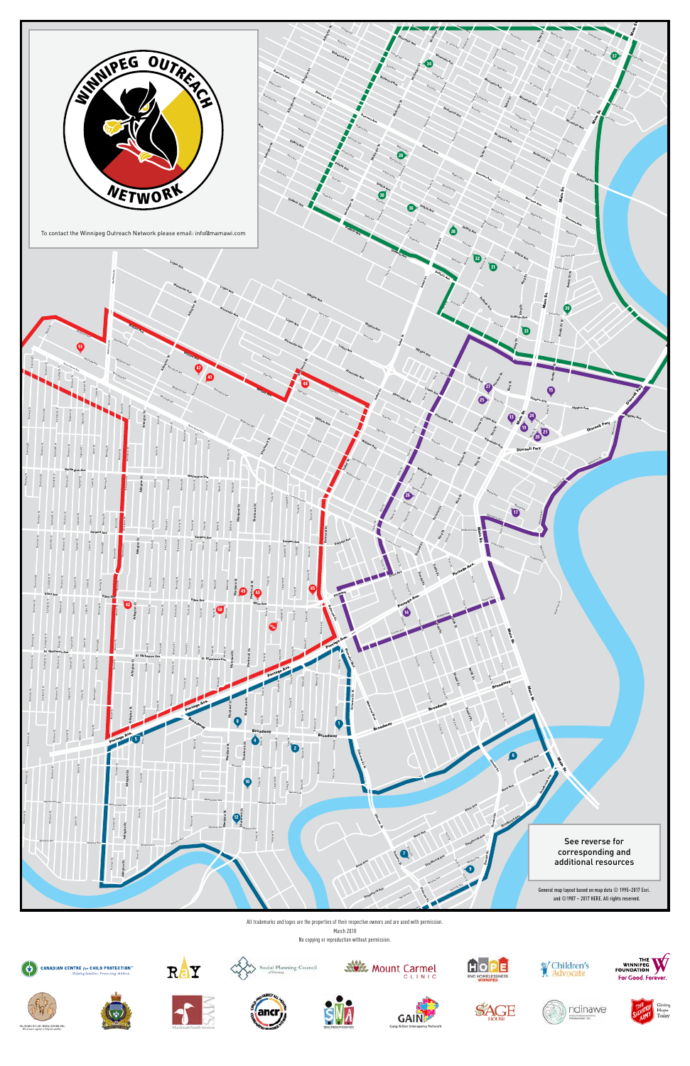

All trademarks and logos are the properties of their respective owners and are used with permission.

March 2018 No copying or reproduction without permission.